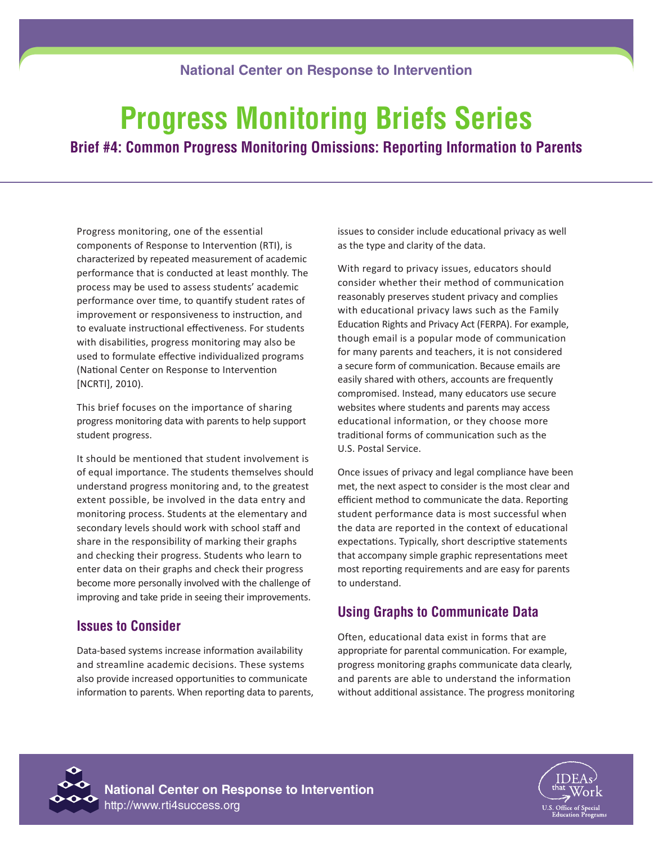### **National Center on Response to Intervention**

# **Progress Monitoring Briefs Series**

**Brief #4: Common Progress Monitoring Omissions: Reporting Information to Parents**

Progress monitoring, one of the essential components of Response to Intervention (RTI), is characterized by repeated measurement of academic performance that is conducted at least monthly. The process may be used to assess students' academic performance over time, to quantify student rates of improvement or responsiveness to instruction, and to evaluate instructional effectiveness. For students with disabilities, progress monitoring may also be used to formulate effective individualized programs (National Center on Response to Intervention [NCRTI], 2010).

This brief focuses on the importance of sharing progress monitoring data with parents to help support student progress.

It should be mentioned that student involvement is of equal importance. The students themselves should understand progress monitoring and, to the greatest extent possible, be involved in the data entry and monitoring process. Students at the elementary and secondary levels should work with school staff and share in the responsibility of marking their graphs and checking their progress. Students who learn to enter data on their graphs and check their progress become more personally involved with the challenge of improving and take pride in seeing their improvements.

### **Issues to Consider**

Data-based systems increase information availability and streamline academic decisions. These systems also provide increased opportunities to communicate information to parents. When reporting data to parents, issues to consider include educational privacy as well as the type and clarity of the data.

With regard to privacy issues, educators should consider whether their method of communication reasonably preserves student privacy and complies with educational privacy laws such as the Family Education Rights and Privacy Act (FERPA). For example, though email is a popular mode of communication for many parents and teachers, it is not considered a secure form of communication. Because emails are easily shared with others, accounts are frequently compromised. Instead, many educators use secure websites where students and parents may access educational information, or they choose more traditional forms of communication such as the U.S. Postal Service.

Once issues of privacy and legal compliance have been met, the next aspect to consider is the most clear and efficient method to communicate the data. Reporting student performance data is most successful when the data are reported in the context of educational expectations. Typically, short descriptive statements that accompany simple graphic representations meet most reporting requirements and are easy for parents to understand.

## **Using Graphs to Communicate Data**

Often, educational data exist in forms that are appropriate for parental communication. For example, progress monitoring graphs communicate data clearly, and parents are able to understand the information without additional assistance. The progress monitoring



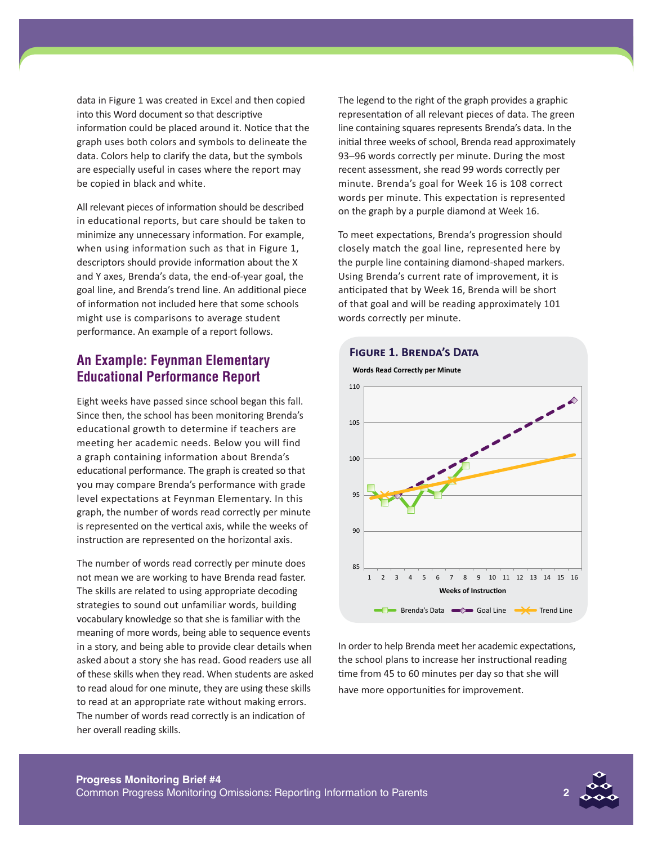data in Figure 1 was created in Excel and then copied into this Word document so that descriptive information could be placed around it. Notice that the graph uses both colors and symbols to delineate the data. Colors help to clarify the data, but the symbols are especially useful in cases where the report may be copied in black and white.

All relevant pieces of information should be described in educational reports, but care should be taken to minimize any unnecessary information. For example, when using information such as that in Figure 1, descriptors should provide information about the X and Y axes, Brenda's data, the end-of-year goal, the goal line, and Brenda's trend line. An additional piece of information not included here that some schools might use is comparisons to average student performance. An example of a report follows.

### **An Example: Feynman Elementary Educational Performance Report**

Eight weeks have passed since school began this fall. Since then, the school has been monitoring Brenda's educational growth to determine if teachers are meeting her academic needs. Below you will find a graph containing information about Brenda's educational performance. The graph is created so that you may compare Brenda's performance with grade level expectations at Feynman Elementary. In this graph, the number of words read correctly per minute is represented on the vertical axis, while the weeks of instruction are represented on the horizontal axis.

The number of words read correctly per minute does not mean we are working to have Brenda read faster. The skills are related to using appropriate decoding strategies to sound out unfamiliar words, building vocabulary knowledge so that she is familiar with the meaning of more words, being able to sequence events in a story, and being able to provide clear details when asked about a story she has read. Good readers use all of these skills when they read. When students are asked to read aloud for one minute, they are using these skills to read at an appropriate rate without making errors. The number of words read correctly is an indication of her overall reading skills.

The legend to the right of the graph provides a graphic representation of all relevant pieces of data. The green line containing squares represents Brenda's data. In the initial three weeks of school, Brenda read approximately 93–96 words correctly per minute. During the most recent assessment, she read 99 words correctly per minute. Brenda's goal for Week 16 is 108 correct words per minute. This expectation is represented on the graph by a purple diamond at Week 16.

To meet expectations, Brenda's progression should closely match the goal line, represented here by the purple line containing diamond-shaped markers. Using Brenda's current rate of improvement, it is anticipated that by Week 16, Brenda will be short of that goal and will be reading approximately 101 words correctly per minute.



In order to help Brenda meet her academic expectations, the school plans to increase her instructional reading time from 45 to 60 minutes per day so that she will have more opportunities for improvement.

# **Figure 1. Brenda's Data**

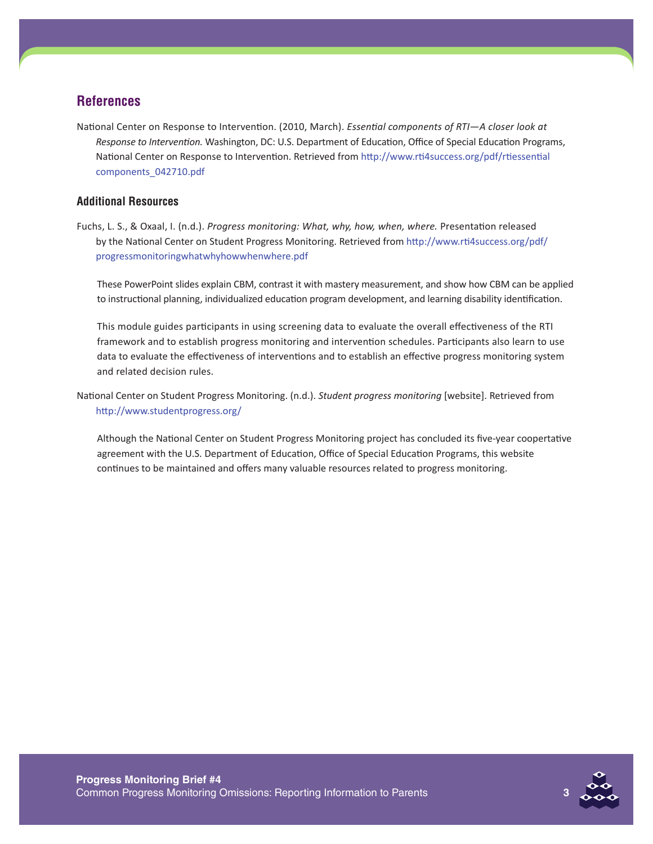### **References**

National Center on Response to Intervention. (2010, March). *Essential components of RTI—A closer look at Response to Intervention.* Washington, DC: U.S. Department of Education, Office of Special Education Programs, National Center on Response to Intervention. Retrieved fro[m http://www.rti4success.org/pdf/rtiessential](%20http://www.rti4success.org/pdf/rtiessential%20components_042710.pdf%20) [components\\_042710.pdf](%20http://www.rti4success.org/pdf/rtiessential%20components_042710.pdf%20)

### **Additional Resources**

Fuchs, L. S., & Oxaal, I. (n.d.). *Progress monitoring: What, why, how, when, where.* Presentation released by the National Center on Student Progress Monitoring. Retrieved from [http://www.rti4success.org/pdf/](http://www.rti4success.org/pdf/progressmonitoringwhatwhyhowwhenwhere.pdf) [progressmonitoringwhatwhyhowwhenwhere.pdf](http://www.rti4success.org/pdf/progressmonitoringwhatwhyhowwhenwhere.pdf)

These PowerPoint slides explain CBM, contrast it with mastery measurement, and show how CBM can be applied to instructional planning, individualized education program development, and learning disability identification.

This module guides participants in using screening data to evaluate the overall effectiveness of the RTI framework and to establish progress monitoring and intervention schedules. Participants also learn to use data to evaluate the effectiveness of interventions and to establish an effective progress monitoring system and related decision rules.

National Center on Student Progress Monitoring. (n.d.). *Student progress monitoring* [website]. Retrieved from <http://www.studentprogress.org/>

Although the National Center on Student Progress Monitoring project has concluded its five-year coopertative agreement with the U.S. Department of Education, Office of Special Education Programs, this website continues to be maintained and offers many valuable resources related to progress monitoring.